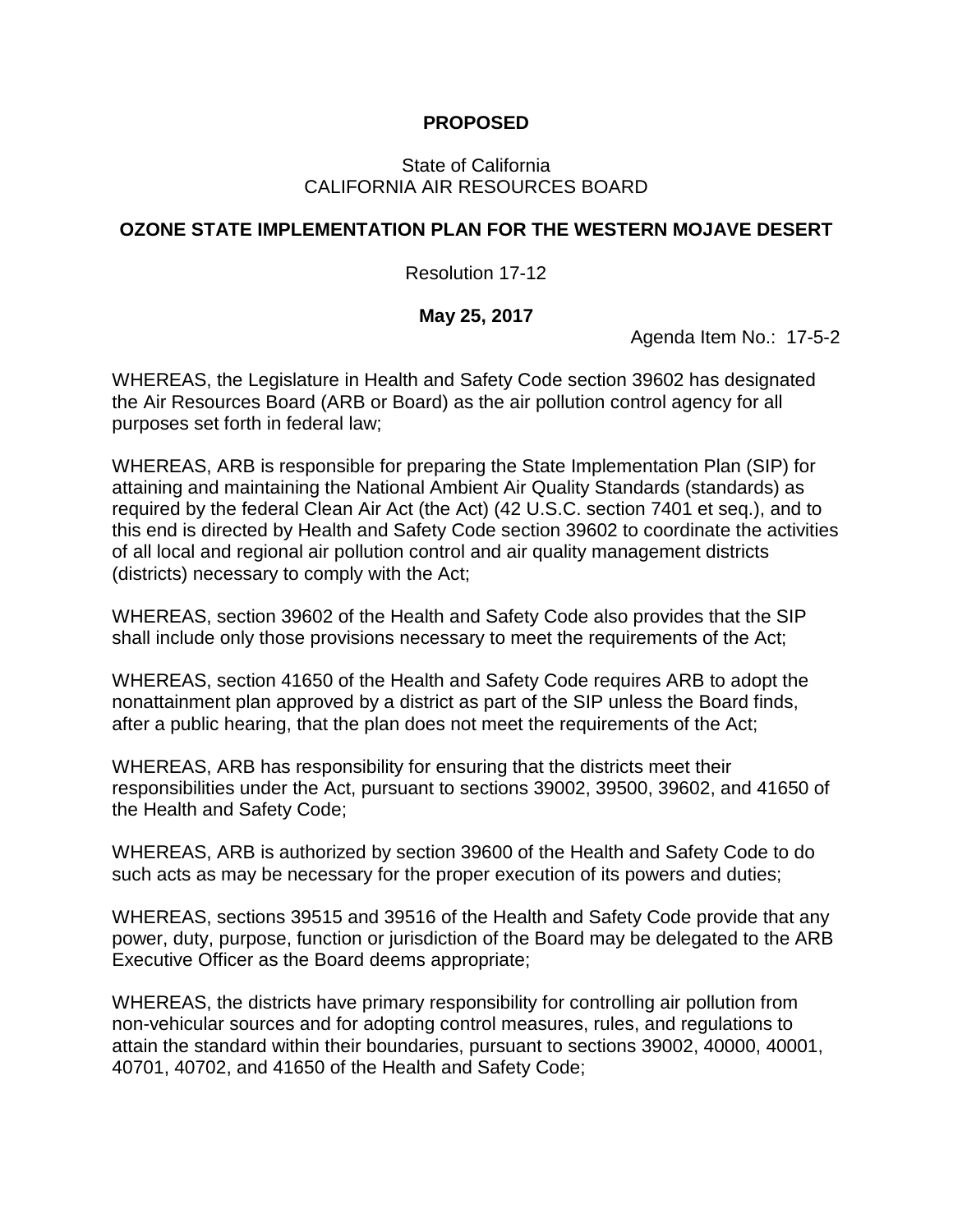# **PROPOSED**

## State of California CALIFORNIA AIR RESOURCES BOARD

## **OZONE STATE IMPLEMENTATION PLAN FOR THE WESTERN MOJAVE DESERT**

#### Resolution 17-12

## **May 25, 2017**

Agenda Item No.: 17-5-2

WHEREAS, the Legislature in Health and Safety Code section 39602 has designated the Air Resources Board (ARB or Board) as the air pollution control agency for all purposes set forth in federal law;

WHEREAS, ARB is responsible for preparing the State Implementation Plan (SIP) for attaining and maintaining the National Ambient Air Quality Standards (standards) as required by the federal Clean Air Act (the Act) (42 U.S.C. section 7401 et seq.), and to this end is directed by Health and Safety Code section 39602 to coordinate the activities of all local and regional air pollution control and air quality management districts (districts) necessary to comply with the Act;

WHEREAS, section 39602 of the Health and Safety Code also provides that the SIP shall include only those provisions necessary to meet the requirements of the Act;

WHEREAS, section 41650 of the Health and Safety Code requires ARB to adopt the nonattainment plan approved by a district as part of the SIP unless the Board finds, after a public hearing, that the plan does not meet the requirements of the Act;

WHEREAS, ARB has responsibility for ensuring that the districts meet their responsibilities under the Act, pursuant to sections 39002, 39500, 39602, and 41650 of the Health and Safety Code;

WHEREAS, ARB is authorized by section 39600 of the Health and Safety Code to do such acts as may be necessary for the proper execution of its powers and duties;

WHEREAS, sections 39515 and 39516 of the Health and Safety Code provide that any power, duty, purpose, function or jurisdiction of the Board may be delegated to the ARB Executive Officer as the Board deems appropriate;

WHEREAS, the districts have primary responsibility for controlling air pollution from non-vehicular sources and for adopting control measures, rules, and regulations to attain the standard within their boundaries, pursuant to sections 39002, 40000, 40001, 40701, 40702, and 41650 of the Health and Safety Code;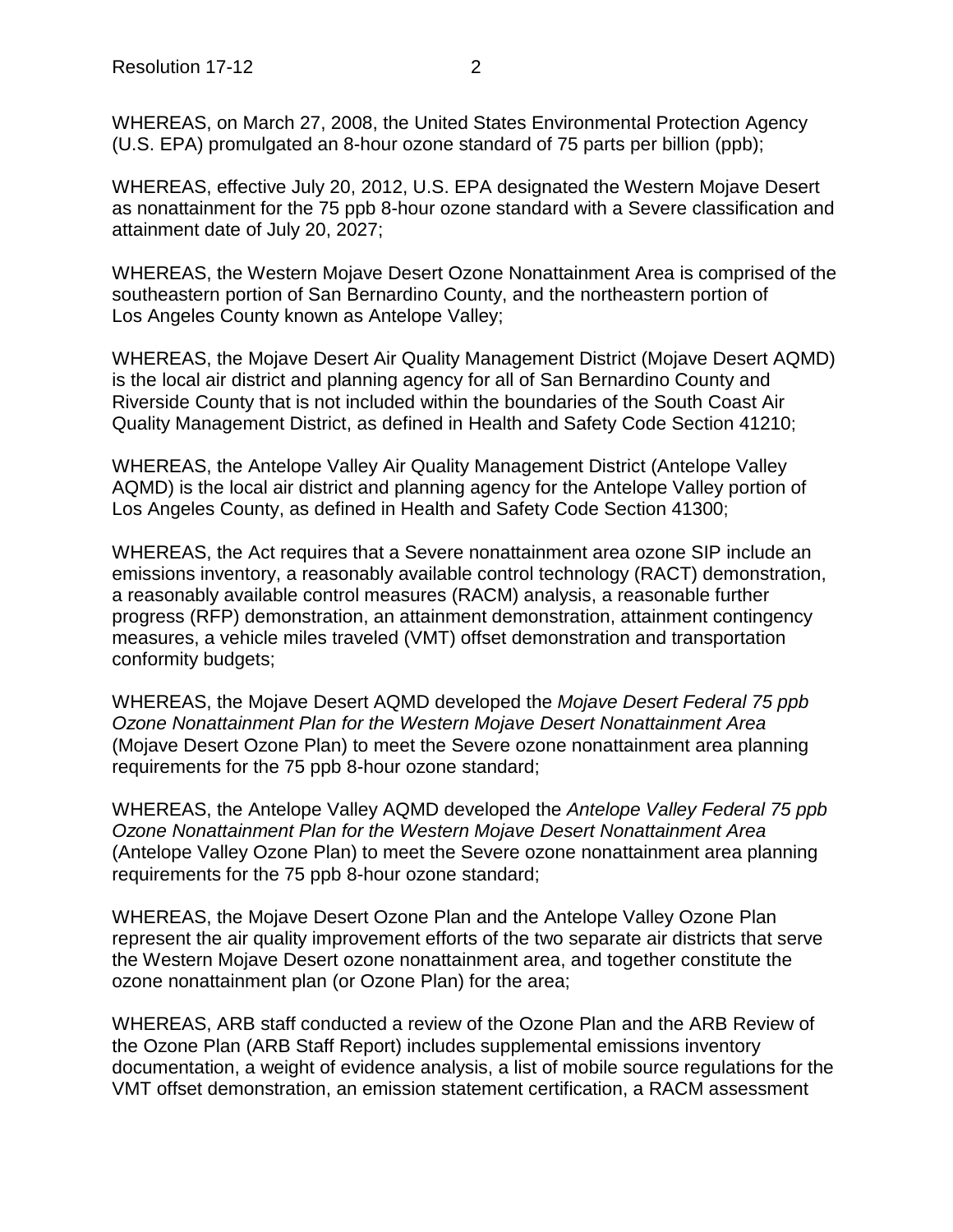WHEREAS, on March 27, 2008, the United States Environmental Protection Agency (U.S. EPA) promulgated an 8-hour ozone standard of 75 parts per billion (ppb);

WHEREAS, effective July 20, 2012, U.S. EPA designated the Western Mojave Desert as nonattainment for the 75 ppb 8-hour ozone standard with a Severe classification and attainment date of July 20, 2027;

WHEREAS, the Western Mojave Desert Ozone Nonattainment Area is comprised of the southeastern portion of San Bernardino County, and the northeastern portion of Los Angeles County known as Antelope Valley;

WHEREAS, the Mojave Desert Air Quality Management District (Mojave Desert AQMD) is the local air district and planning agency for all of San Bernardino County and Riverside County that is not included within the boundaries of the South Coast Air Quality Management District, as defined in Health and Safety Code Section 41210;

WHEREAS, the Antelope Valley Air Quality Management District (Antelope Valley AQMD) is the local air district and planning agency for the Antelope Valley portion of Los Angeles County, as defined in Health and Safety Code Section 41300;

WHEREAS, the Act requires that a Severe nonattainment area ozone SIP include an emissions inventory, a reasonably available control technology (RACT) demonstration, a reasonably available control measures (RACM) analysis, a reasonable further progress (RFP) demonstration, an attainment demonstration, attainment contingency measures, a vehicle miles traveled (VMT) offset demonstration and transportation conformity budgets;

WHEREAS, the Mojave Desert AQMD developed the *Mojave Desert Federal 75 ppb Ozone Nonattainment Plan for the Western Mojave Desert Nonattainment Area* (Mojave Desert Ozone Plan) to meet the Severe ozone nonattainment area planning requirements for the 75 ppb 8-hour ozone standard;

WHEREAS, the Antelope Valley AQMD developed the *Antelope Valley Federal 75 ppb Ozone Nonattainment Plan for the Western Mojave Desert Nonattainment Area* (Antelope Valley Ozone Plan) to meet the Severe ozone nonattainment area planning requirements for the 75 ppb 8-hour ozone standard;

WHEREAS, the Mojave Desert Ozone Plan and the Antelope Valley Ozone Plan represent the air quality improvement efforts of the two separate air districts that serve the Western Mojave Desert ozone nonattainment area, and together constitute the ozone nonattainment plan (or Ozone Plan) for the area;

WHEREAS, ARB staff conducted a review of the Ozone Plan and the ARB Review of the Ozone Plan (ARB Staff Report) includes supplemental emissions inventory documentation, a weight of evidence analysis, a list of mobile source regulations for the VMT offset demonstration, an emission statement certification, a RACM assessment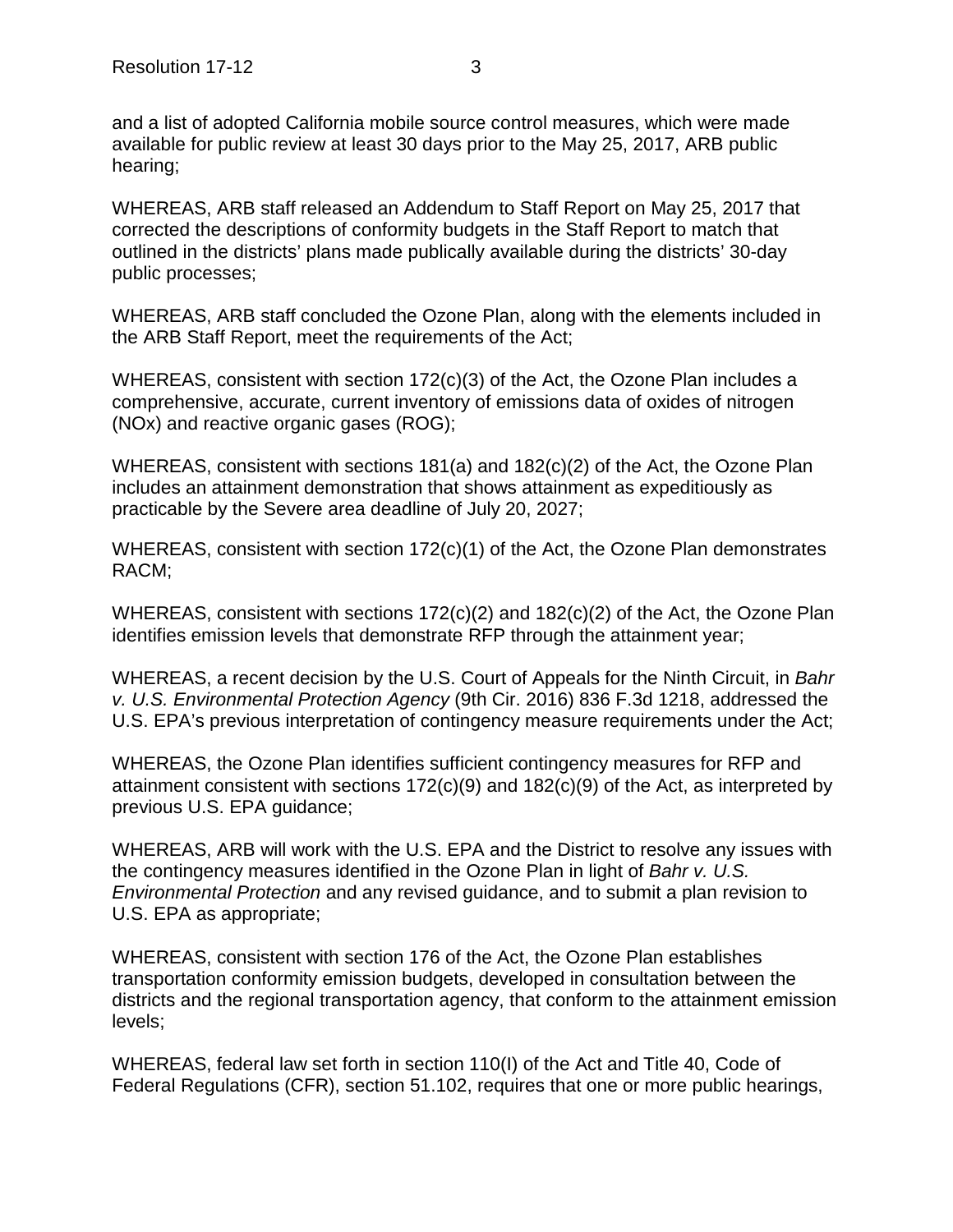and a list of adopted California mobile source control measures, which were made available for public review at least 30 days prior to the May 25, 2017, ARB public hearing;

WHEREAS, ARB staff released an Addendum to Staff Report on May 25, 2017 that corrected the descriptions of conformity budgets in the Staff Report to match that outlined in the districts' plans made publically available during the districts' 30-day public processes;

WHEREAS, ARB staff concluded the Ozone Plan, along with the elements included in the ARB Staff Report, meet the requirements of the Act;

WHEREAS, consistent with section 172(c)(3) of the Act, the Ozone Plan includes a comprehensive, accurate, current inventory of emissions data of oxides of nitrogen (NOx) and reactive organic gases (ROG);

WHEREAS, consistent with sections 181(a) and 182(c)(2) of the Act, the Ozone Plan includes an attainment demonstration that shows attainment as expeditiously as practicable by the Severe area deadline of July 20, 2027;

WHEREAS, consistent with section 172(c)(1) of the Act, the Ozone Plan demonstrates RACM;

WHEREAS, consistent with sections 172(c)(2) and 182(c)(2) of the Act, the Ozone Plan identifies emission levels that demonstrate RFP through the attainment year;

WHEREAS, a recent decision by the U.S. Court of Appeals for the Ninth Circuit, in *Bahr v. U.S. Environmental Protection Agency* (9th Cir. 2016) 836 F.3d 1218, addressed the U.S. EPA's previous interpretation of contingency measure requirements under the Act;

WHEREAS, the Ozone Plan identifies sufficient contingency measures for RFP and attainment consistent with sections  $172(c)(9)$  and  $182(c)(9)$  of the Act, as interpreted by previous U.S. EPA guidance;

WHEREAS, ARB will work with the U.S. EPA and the District to resolve any issues with the contingency measures identified in the Ozone Plan in light of *Bahr v. U.S. Environmental Protection* and any revised guidance, and to submit a plan revision to U.S. EPA as appropriate;

WHEREAS, consistent with section 176 of the Act, the Ozone Plan establishes transportation conformity emission budgets, developed in consultation between the districts and the regional transportation agency, that conform to the attainment emission levels;

WHEREAS, federal law set forth in section 110(I) of the Act and Title 40, Code of Federal Regulations (CFR), section 51.102, requires that one or more public hearings,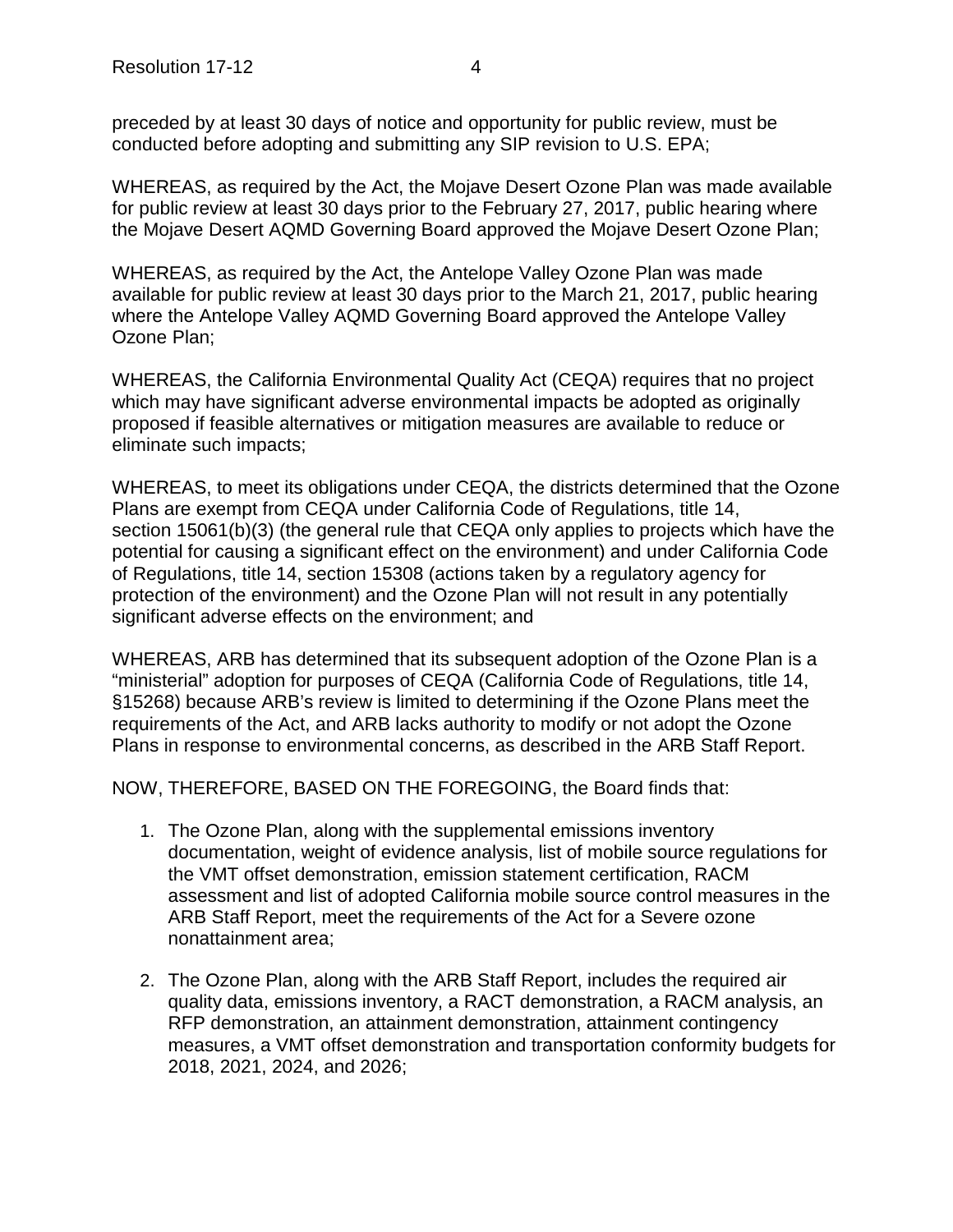preceded by at least 30 days of notice and opportunity for public review, must be conducted before adopting and submitting any SIP revision to U.S. EPA;

WHEREAS, as required by the Act, the Mojave Desert Ozone Plan was made available for public review at least 30 days prior to the February 27, 2017, public hearing where the Mojave Desert AQMD Governing Board approved the Mojave Desert Ozone Plan;

WHEREAS, as required by the Act, the Antelope Valley Ozone Plan was made available for public review at least 30 days prior to the March 21, 2017, public hearing where the Antelope Valley AQMD Governing Board approved the Antelope Valley Ozone Plan;

WHEREAS, the California Environmental Quality Act (CEQA) requires that no project which may have significant adverse environmental impacts be adopted as originally proposed if feasible alternatives or mitigation measures are available to reduce or eliminate such impacts;

WHEREAS, to meet its obligations under CEQA, the districts determined that the Ozone Plans are exempt from CEQA under California Code of Regulations, title 14, section 15061(b)(3) (the general rule that CEQA only applies to projects which have the potential for causing a significant effect on the environment) and under California Code of Regulations, title 14, section 15308 (actions taken by a regulatory agency for protection of the environment) and the Ozone Plan will not result in any potentially significant adverse effects on the environment; and

WHEREAS, ARB has determined that its subsequent adoption of the Ozone Plan is a "ministerial" adoption for purposes of CEQA (California Code of Regulations, title 14, §15268) because ARB's review is limited to determining if the Ozone Plans meet the requirements of the Act, and ARB lacks authority to modify or not adopt the Ozone Plans in response to environmental concerns, as described in the ARB Staff Report.

NOW, THEREFORE, BASED ON THE FOREGOING, the Board finds that:

- 1. The Ozone Plan, along with the supplemental emissions inventory documentation, weight of evidence analysis, list of mobile source regulations for the VMT offset demonstration, emission statement certification, RACM assessment and list of adopted California mobile source control measures in the ARB Staff Report, meet the requirements of the Act for a Severe ozone nonattainment area;
- 2. The Ozone Plan, along with the ARB Staff Report, includes the required air quality data, emissions inventory, a RACT demonstration, a RACM analysis, an RFP demonstration, an attainment demonstration, attainment contingency measures, a VMT offset demonstration and transportation conformity budgets for 2018, 2021, 2024, and 2026;